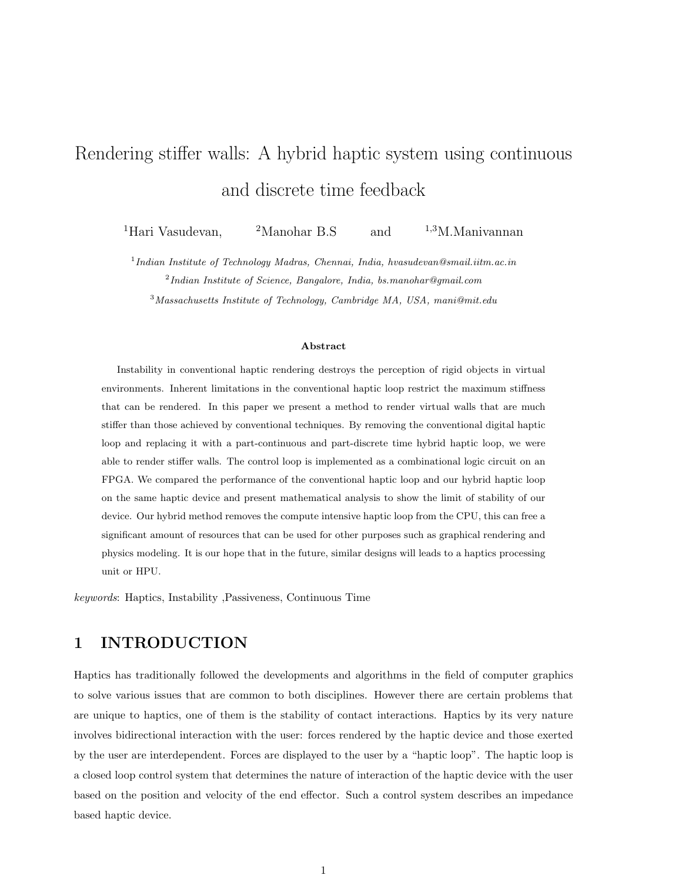# Rendering stiffer walls: A hybrid haptic system using continuous and discrete time feedback

<sup>1</sup>Hari Vasudevan, <sup>2</sup>Manohar B.S and <sup>1,3</sup>M.Manivannan

 $1$ Indian Institute of Technology Madras, Chennai, India, hvasudevan@smail.iitm.ac.in  $2$ Indian Institute of Science, Bangalore, India, bs.manohar@gmail.com <sup>3</sup>Massachusetts Institute of Technology, Cambridge MA, USA, mani@mit.edu

#### Abstract

Instability in conventional haptic rendering destroys the perception of rigid objects in virtual environments. Inherent limitations in the conventional haptic loop restrict the maximum stiffness that can be rendered. In this paper we present a method to render virtual walls that are much stiffer than those achieved by conventional techniques. By removing the conventional digital haptic loop and replacing it with a part-continuous and part-discrete time hybrid haptic loop, we were able to render stiffer walls. The control loop is implemented as a combinational logic circuit on an FPGA. We compared the performance of the conventional haptic loop and our hybrid haptic loop on the same haptic device and present mathematical analysis to show the limit of stability of our device. Our hybrid method removes the compute intensive haptic loop from the CPU, this can free a significant amount of resources that can be used for other purposes such as graphical rendering and physics modeling. It is our hope that in the future, similar designs will leads to a haptics processing unit or HPU.

keywords: Haptics, Instability ,Passiveness, Continuous Time

# 1 INTRODUCTION

Haptics has traditionally followed the developments and algorithms in the field of computer graphics to solve various issues that are common to both disciplines. However there are certain problems that are unique to haptics, one of them is the stability of contact interactions. Haptics by its very nature involves bidirectional interaction with the user: forces rendered by the haptic device and those exerted by the user are interdependent. Forces are displayed to the user by a "haptic loop". The haptic loop is a closed loop control system that determines the nature of interaction of the haptic device with the user based on the position and velocity of the end effector. Such a control system describes an impedance based haptic device.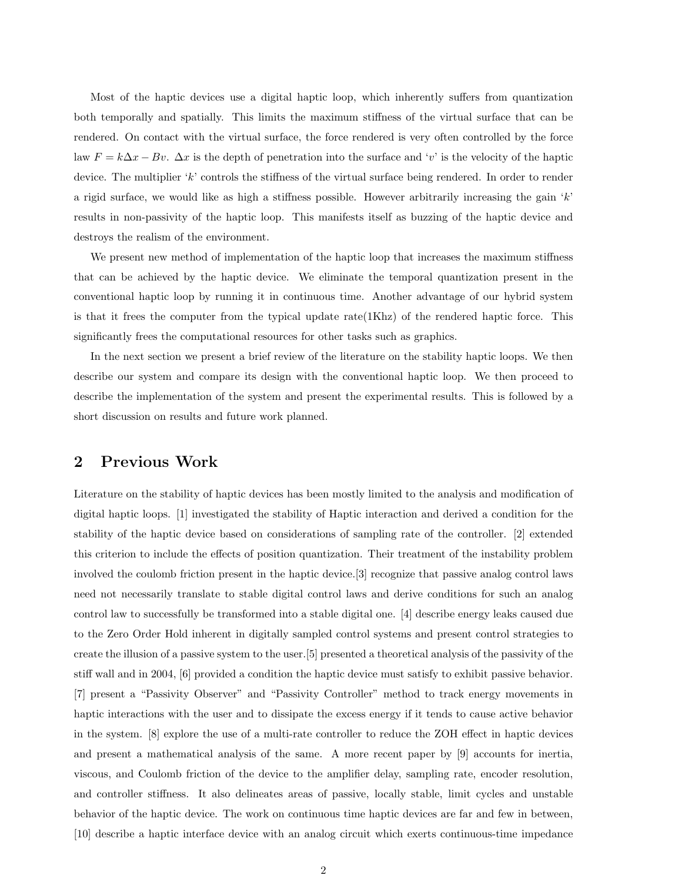Most of the haptic devices use a digital haptic loop, which inherently suffers from quantization both temporally and spatially. This limits the maximum stiffness of the virtual surface that can be rendered. On contact with the virtual surface, the force rendered is very often controlled by the force law  $F = k\Delta x - Bv$ .  $\Delta x$  is the depth of penetration into the surface and 'v' is the velocity of the haptic device. The multiplier 'k' controls the stiffness of the virtual surface being rendered. In order to render a rigid surface, we would like as high a stiffness possible. However arbitrarily increasing the gain  $k$ results in non-passivity of the haptic loop. This manifests itself as buzzing of the haptic device and destroys the realism of the environment.

We present new method of implementation of the haptic loop that increases the maximum stiffness that can be achieved by the haptic device. We eliminate the temporal quantization present in the conventional haptic loop by running it in continuous time. Another advantage of our hybrid system is that it frees the computer from the typical update rate(1Khz) of the rendered haptic force. This significantly frees the computational resources for other tasks such as graphics.

In the next section we present a brief review of the literature on the stability haptic loops. We then describe our system and compare its design with the conventional haptic loop. We then proceed to describe the implementation of the system and present the experimental results. This is followed by a short discussion on results and future work planned.

# 2 Previous Work

Literature on the stability of haptic devices has been mostly limited to the analysis and modification of digital haptic loops. [1] investigated the stability of Haptic interaction and derived a condition for the stability of the haptic device based on considerations of sampling rate of the controller. [2] extended this criterion to include the effects of position quantization. Their treatment of the instability problem involved the coulomb friction present in the haptic device.[3] recognize that passive analog control laws need not necessarily translate to stable digital control laws and derive conditions for such an analog control law to successfully be transformed into a stable digital one. [4] describe energy leaks caused due to the Zero Order Hold inherent in digitally sampled control systems and present control strategies to create the illusion of a passive system to the user.[5] presented a theoretical analysis of the passivity of the stiff wall and in 2004, [6] provided a condition the haptic device must satisfy to exhibit passive behavior. [7] present a "Passivity Observer" and "Passivity Controller" method to track energy movements in haptic interactions with the user and to dissipate the excess energy if it tends to cause active behavior in the system. [8] explore the use of a multi-rate controller to reduce the ZOH effect in haptic devices and present a mathematical analysis of the same. A more recent paper by [9] accounts for inertia, viscous, and Coulomb friction of the device to the amplifier delay, sampling rate, encoder resolution, and controller stiffness. It also delineates areas of passive, locally stable, limit cycles and unstable behavior of the haptic device. The work on continuous time haptic devices are far and few in between, [10] describe a haptic interface device with an analog circuit which exerts continuous-time impedance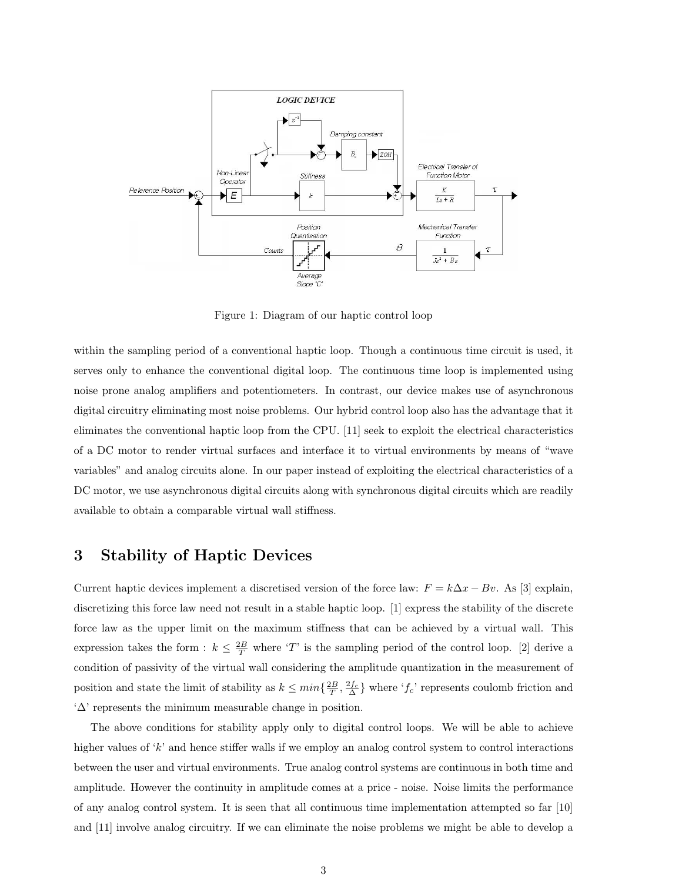

Figure 1: Diagram of our haptic control loop

within the sampling period of a conventional haptic loop. Though a continuous time circuit is used, it serves only to enhance the conventional digital loop. The continuous time loop is implemented using noise prone analog amplifiers and potentiometers. In contrast, our device makes use of asynchronous digital circuitry eliminating most noise problems. Our hybrid control loop also has the advantage that it eliminates the conventional haptic loop from the CPU. [11] seek to exploit the electrical characteristics of a DC motor to render virtual surfaces and interface it to virtual environments by means of "wave variables" and analog circuits alone. In our paper instead of exploiting the electrical characteristics of a DC motor, we use asynchronous digital circuits along with synchronous digital circuits which are readily available to obtain a comparable virtual wall stiffness.

# 3 Stability of Haptic Devices

Current haptic devices implement a discretised version of the force law:  $F = k\Delta x - Bv$ . As [3] explain, discretizing this force law need not result in a stable haptic loop. [1] express the stability of the discrete force law as the upper limit on the maximum stiffness that can be achieved by a virtual wall. This expression takes the form :  $k \leq \frac{2B}{T}$  where 'T' is the sampling period of the control loop. [2] derive a condition of passivity of the virtual wall considering the amplitude quantization in the measurement of position and state the limit of stability as  $k \leq min\{\frac{2B}{T}, \frac{2f_c}{\Delta}\}\$  where ' $f_c$ ' represents coulomb friction and '∆' represents the minimum measurable change in position.

The above conditions for stability apply only to digital control loops. We will be able to achieve higher values of  $k'$  and hence stiffer walls if we employ an analog control system to control interactions between the user and virtual environments. True analog control systems are continuous in both time and amplitude. However the continuity in amplitude comes at a price - noise. Noise limits the performance of any analog control system. It is seen that all continuous time implementation attempted so far [10] and [11] involve analog circuitry. If we can eliminate the noise problems we might be able to develop a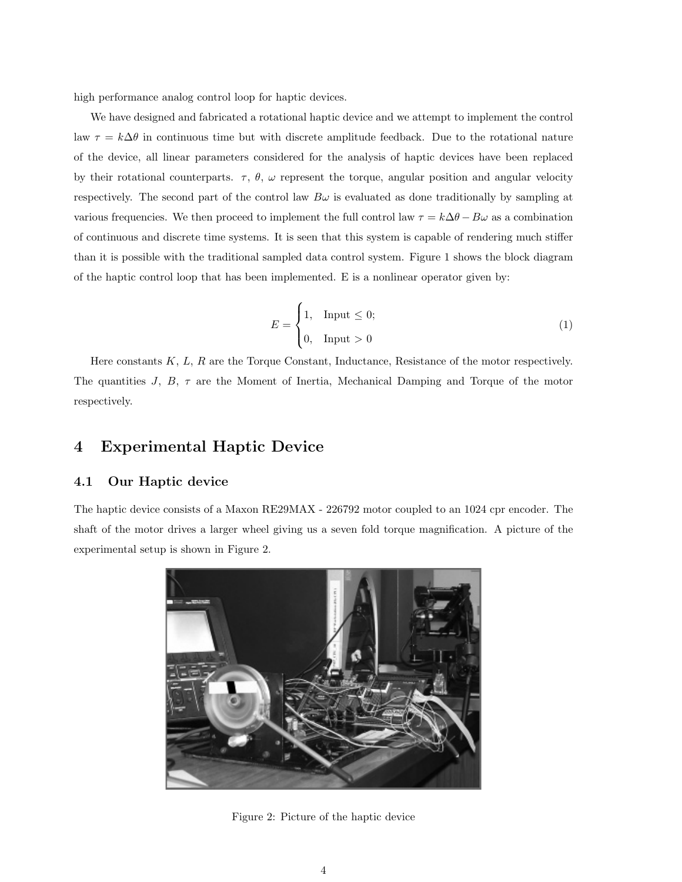high performance analog control loop for haptic devices.

We have designed and fabricated a rotational haptic device and we attempt to implement the control law  $\tau = k\Delta\theta$  in continuous time but with discrete amplitude feedback. Due to the rotational nature of the device, all linear parameters considered for the analysis of haptic devices have been replaced by their rotational counterparts.  $\tau$ ,  $\theta$ ,  $\omega$  represent the torque, angular position and angular velocity respectively. The second part of the control law  $B\omega$  is evaluated as done traditionally by sampling at various frequencies. We then proceed to implement the full control law  $\tau = k\Delta\theta - B\omega$  as a combination of continuous and discrete time systems. It is seen that this system is capable of rendering much stiffer than it is possible with the traditional sampled data control system. Figure 1 shows the block diagram of the haptic control loop that has been implemented. E is a nonlinear operator given by:

$$
E = \begin{cases} 1, & \text{Input} \leq 0; \\ 0, & \text{Input} > 0 \end{cases} \tag{1}
$$

Here constants  $K, L, R$  are the Torque Constant, Inductance, Resistance of the motor respectively. The quantities J, B,  $\tau$  are the Moment of Inertia, Mechanical Damping and Torque of the motor respectively.

# 4 Experimental Haptic Device

#### 4.1 Our Haptic device

The haptic device consists of a Maxon RE29MAX - 226792 motor coupled to an 1024 cpr encoder. The shaft of the motor drives a larger wheel giving us a seven fold torque magnification. A picture of the experimental setup is shown in Figure 2.



Figure 2: Picture of the haptic device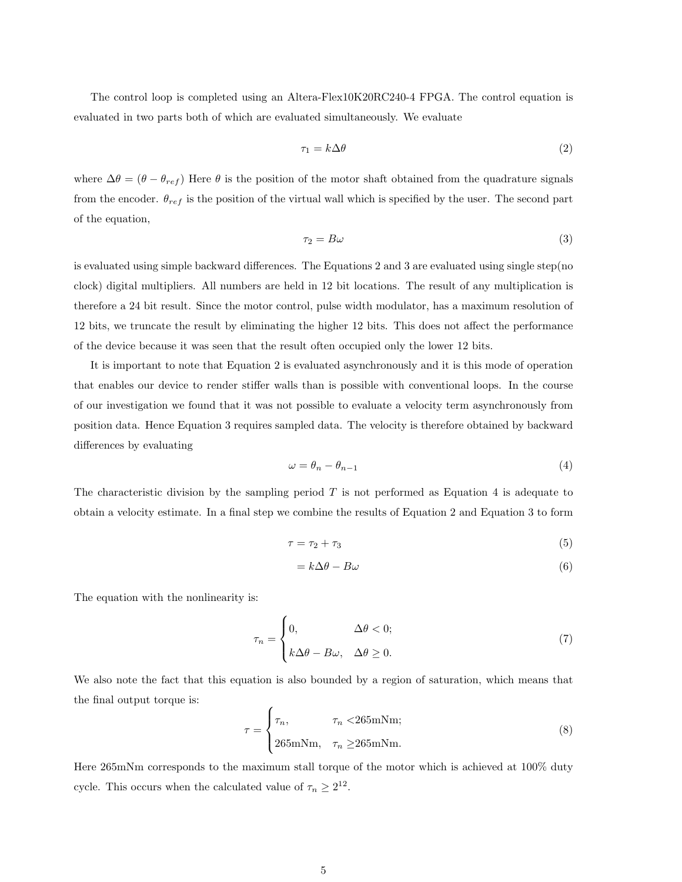The control loop is completed using an Altera-Flex10K20RC240-4 FPGA. The control equation is evaluated in two parts both of which are evaluated simultaneously. We evaluate

$$
\tau_1 = k \Delta \theta \tag{2}
$$

where  $\Delta\theta = (\theta - \theta_{ref})$  Here  $\theta$  is the position of the motor shaft obtained from the quadrature signals from the encoder.  $\theta_{ref}$  is the position of the virtual wall which is specified by the user. The second part of the equation,

$$
\tau_2 = B\omega \tag{3}
$$

is evaluated using simple backward differences. The Equations 2 and 3 are evaluated using single step(no clock) digital multipliers. All numbers are held in 12 bit locations. The result of any multiplication is therefore a 24 bit result. Since the motor control, pulse width modulator, has a maximum resolution of 12 bits, we truncate the result by eliminating the higher 12 bits. This does not affect the performance of the device because it was seen that the result often occupied only the lower 12 bits.

It is important to note that Equation 2 is evaluated asynchronously and it is this mode of operation that enables our device to render stiffer walls than is possible with conventional loops. In the course of our investigation we found that it was not possible to evaluate a velocity term asynchronously from position data. Hence Equation 3 requires sampled data. The velocity is therefore obtained by backward differences by evaluating

$$
\omega = \theta_n - \theta_{n-1} \tag{4}
$$

The characteristic division by the sampling period  $T$  is not performed as Equation 4 is adequate to obtain a velocity estimate. In a final step we combine the results of Equation 2 and Equation 3 to form

$$
\tau = \tau_2 + \tau_3 \tag{5}
$$

$$
=k\Delta\theta-B\omega\tag{6}
$$

The equation with the nonlinearity is:

$$
\tau_n = \begin{cases} 0, & \Delta\theta < 0; \\ k\Delta\theta - B\omega, & \Delta\theta \ge 0. \end{cases} \tag{7}
$$

We also note the fact that this equation is also bounded by a region of saturation, which means that the final output torque is:

$$
\tau = \begin{cases} \tau_n, & \tau_n < 265 \text{mNm}; \\ 265 \text{mNm}, & \tau_n \ge 265 \text{mNm}. \end{cases}
$$
 (8)

Here 265mNm corresponds to the maximum stall torque of the motor which is achieved at 100% duty cycle. This occurs when the calculated value of  $\tau_n \geq 2^{12}$ .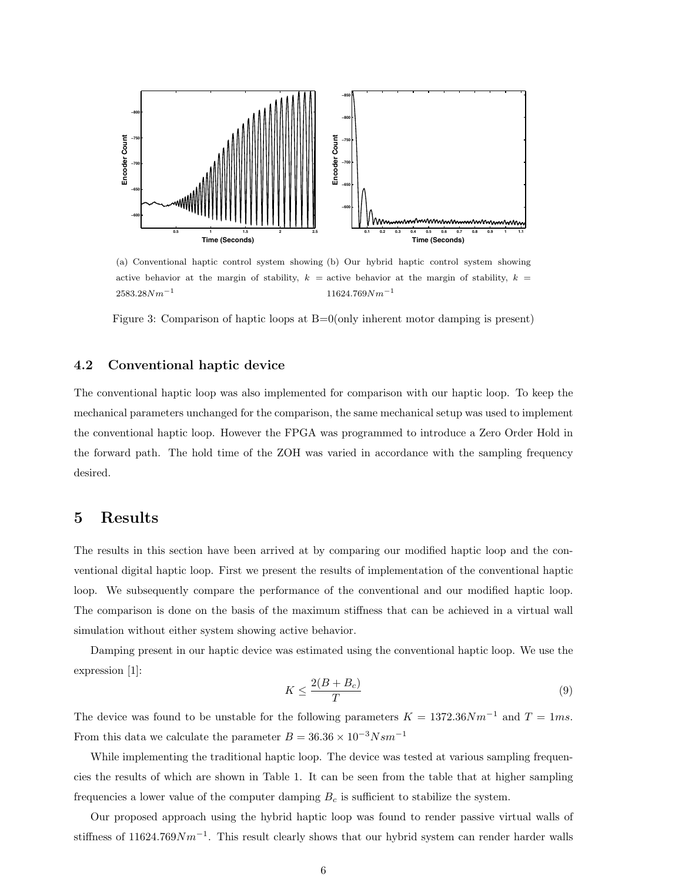

(a) Conventional haptic control system showing (b) Our hybrid haptic control system showing active behavior at the margin of stability,  $k =$  active behavior at the margin of stability,  $k =$  $2583.28Nm^{-1}$  $11624.769Nm^{-1}$ 

Figure 3: Comparison of haptic loops at B=0(only inherent motor damping is present)

#### 4.2 Conventional haptic device

The conventional haptic loop was also implemented for comparison with our haptic loop. To keep the mechanical parameters unchanged for the comparison, the same mechanical setup was used to implement the conventional haptic loop. However the FPGA was programmed to introduce a Zero Order Hold in the forward path. The hold time of the ZOH was varied in accordance with the sampling frequency desired.

## 5 Results

The results in this section have been arrived at by comparing our modified haptic loop and the conventional digital haptic loop. First we present the results of implementation of the conventional haptic loop. We subsequently compare the performance of the conventional and our modified haptic loop. The comparison is done on the basis of the maximum stiffness that can be achieved in a virtual wall simulation without either system showing active behavior.

Damping present in our haptic device was estimated using the conventional haptic loop. We use the expression [1]:

$$
K \le \frac{2(B+B_c)}{T} \tag{9}
$$

The device was found to be unstable for the following parameters  $K = 1372.36 N m^{-1}$  and  $T = 1ms$ . From this data we calculate the parameter  $B = 36.36 \times 10^{-3} N s m^{-1}$ 

While implementing the traditional haptic loop. The device was tested at various sampling frequencies the results of which are shown in Table 1. It can be seen from the table that at higher sampling frequencies a lower value of the computer damping  $B<sub>c</sub>$  is sufficient to stabilize the system.

Our proposed approach using the hybrid haptic loop was found to render passive virtual walls of stiffness of 11624.769 $Nm^{-1}$ . This result clearly shows that our hybrid system can render harder walls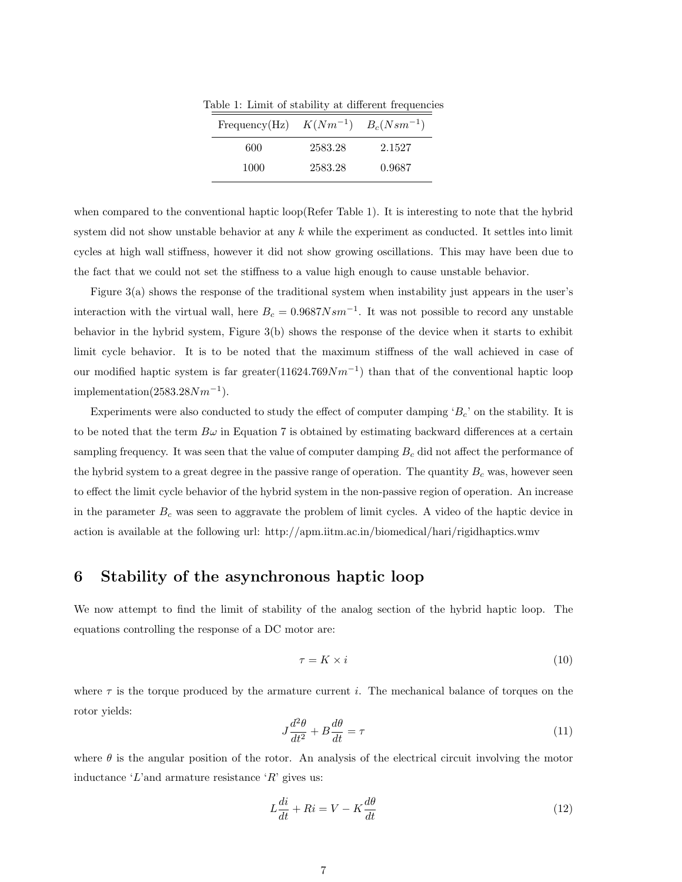Table 1: Limit of stability at different frequencies

| Frequency(Hz) $K(Nm^{-1})$ $B_c(Nsm^{-1})$ |         |        |
|--------------------------------------------|---------|--------|
| 600                                        | 2583.28 | 2.1527 |
| 1000                                       | 2583.28 | 0.9687 |

when compared to the conventional haptic loop(Refer Table 1). It is interesting to note that the hybrid system did not show unstable behavior at any  $k$  while the experiment as conducted. It settles into limit cycles at high wall stiffness, however it did not show growing oscillations. This may have been due to the fact that we could not set the stiffness to a value high enough to cause unstable behavior.

Figure 3(a) shows the response of the traditional system when instability just appears in the user's interaction with the virtual wall, here  $B_c = 0.9687 N s m^{-1}$ . It was not possible to record any unstable behavior in the hybrid system, Figure 3(b) shows the response of the device when it starts to exhibit limit cycle behavior. It is to be noted that the maximum stiffness of the wall achieved in case of our modified haptic system is far greater $(11624.769Nm^{-1})$  than that of the conventional haptic loop implementation $(2583.28Nm^{-1}).$ 

Experiments were also conducted to study the effect of computer damping  $B_c$ ' on the stability. It is to be noted that the term  $B\omega$  in Equation 7 is obtained by estimating backward differences at a certain sampling frequency. It was seen that the value of computer damping  $B<sub>c</sub>$  did not affect the performance of the hybrid system to a great degree in the passive range of operation. The quantity  $B<sub>c</sub>$  was, however seen to effect the limit cycle behavior of the hybrid system in the non-passive region of operation. An increase in the parameter  $B<sub>c</sub>$  was seen to aggravate the problem of limit cycles. A video of the haptic device in action is available at the following url: http://apm.iitm.ac.in/biomedical/hari/rigidhaptics.wmv

## 6 Stability of the asynchronous haptic loop

We now attempt to find the limit of stability of the analog section of the hybrid haptic loop. The equations controlling the response of a DC motor are:

$$
\tau = K \times i \tag{10}
$$

where  $\tau$  is the torque produced by the armature current i. The mechanical balance of torques on the rotor yields:

$$
J\frac{d^2\theta}{dt^2} + B\frac{d\theta}{dt} = \tau\tag{11}
$$

where  $\theta$  is the angular position of the rotor. An analysis of the electrical circuit involving the motor inductance 'L'and armature resistance ' $R$ ' gives us:

$$
L\frac{di}{dt} + Ri = V - K\frac{d\theta}{dt}
$$
\n(12)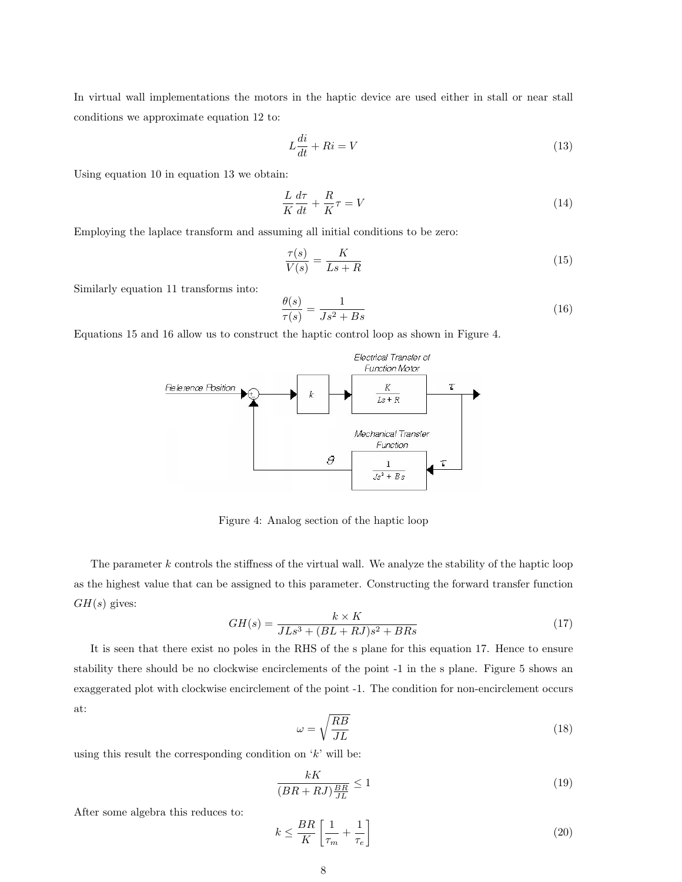In virtual wall implementations the motors in the haptic device are used either in stall or near stall conditions we approximate equation 12 to:

$$
L\frac{di}{dt} + Ri = V\tag{13}
$$

Using equation 10 in equation 13 we obtain:

$$
\frac{L}{K}\frac{d\tau}{dt} + \frac{R}{K}\tau = V\tag{14}
$$

Employing the laplace transform and assuming all initial conditions to be zero:

$$
\frac{\tau(s)}{V(s)} = \frac{K}{Ls + R} \tag{15}
$$

Similarly equation 11 transforms into:

$$
\frac{\theta(s)}{\tau(s)} = \frac{1}{Js^2 + Bs} \tag{16}
$$

Equations 15 and 16 allow us to construct the haptic control loop as shown in Figure 4.



Figure 4: Analog section of the haptic loop

The parameter  $k$  controls the stiffness of the virtual wall. We analyze the stability of the haptic loop as the highest value that can be assigned to this parameter. Constructing the forward transfer function  $GH(s)$  gives:

$$
GH(s) = \frac{k \times K}{JLs^3 + (BL + RJ)s^2 + BRs}
$$
\n
$$
\tag{17}
$$

It is seen that there exist no poles in the RHS of the s plane for this equation 17. Hence to ensure stability there should be no clockwise encirclements of the point -1 in the s plane. Figure 5 shows an exaggerated plot with clockwise encirclement of the point -1. The condition for non-encirclement occurs at:

$$
\omega = \sqrt{\frac{RB}{JL}}\tag{18}
$$

using this result the corresponding condition on  $k'$  will be:

$$
\frac{kK}{(BR + RJ)\frac{BR}{JL}} \le 1\tag{19}
$$

After some algebra this reduces to:

$$
k \le \frac{BR}{K} \left[ \frac{1}{\tau_m} + \frac{1}{\tau_e} \right] \tag{20}
$$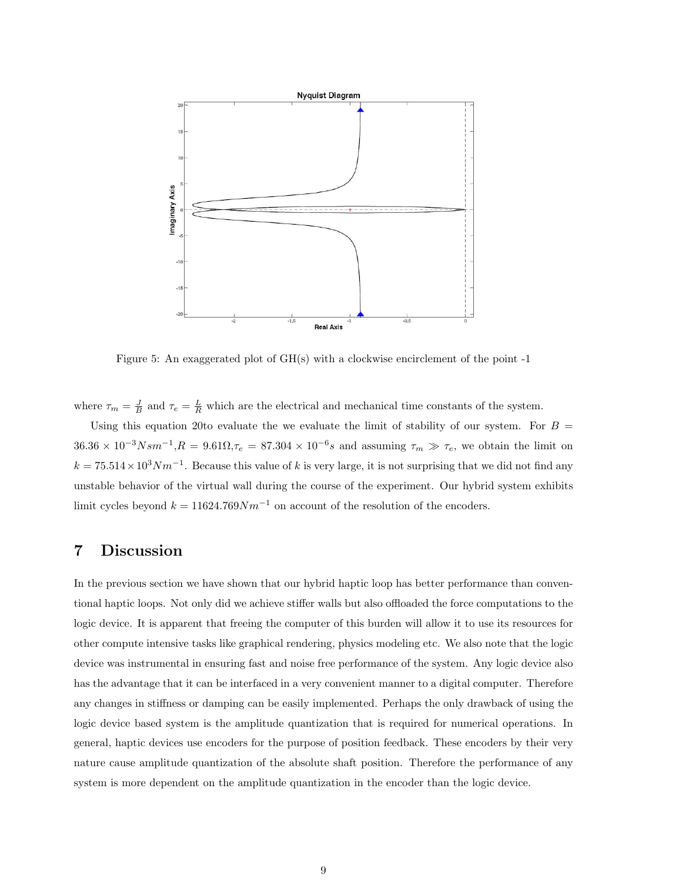

Figure 5: An exaggerated plot of  $GH(s)$  with a clockwise encirclement of the point -1

where  $\tau_m = \frac{J}{B}$  and  $\tau_e = \frac{L}{R}$  which are the electrical and mechanical time constants of the system.

Using this equation 20to evaluate the we evaluate the limit of stability of our system. For  $B =$  $36.36 \times 10^{-3} N s m^{-1}, R = 9.61 \Omega, \tau_e = 87.304 \times 10^{-6} s$  and assuming  $\tau_m \gg \tau_e$ , we obtain the limit on  $k = 75.514 \times 10^3 N m^{-1}$ . Because this value of k is very large, it is not surprising that we did not find any unstable behavior of the virtual wall during the course of the experiment. Our hybrid system exhibits limit cycles beyond  $k = 11624.769Nm^{-1}$  on account of the resolution of the encoders.

# 7 Discussion

In the previous section we have shown that our hybrid haptic loop has better performance than conventional haptic loops. Not only did we achieve stiffer walls but also offloaded the force computations to the logic device. It is apparent that freeing the computer of this burden will allow it to use its resources for other compute intensive tasks like graphical rendering, physics modeling etc. We also note that the logic device was instrumental in ensuring fast and noise free performance of the system. Any logic device also has the advantage that it can be interfaced in a very convenient manner to a digital computer. Therefore any changes in stiffness or damping can be easily implemented. Perhaps the only drawback of using the logic device based system is the amplitude quantization that is required for numerical operations. In general, haptic devices use encoders for the purpose of position feedback. These encoders by their very nature cause amplitude quantization of the absolute shaft position. Therefore the performance of any system is more dependent on the amplitude quantization in the encoder than the logic device.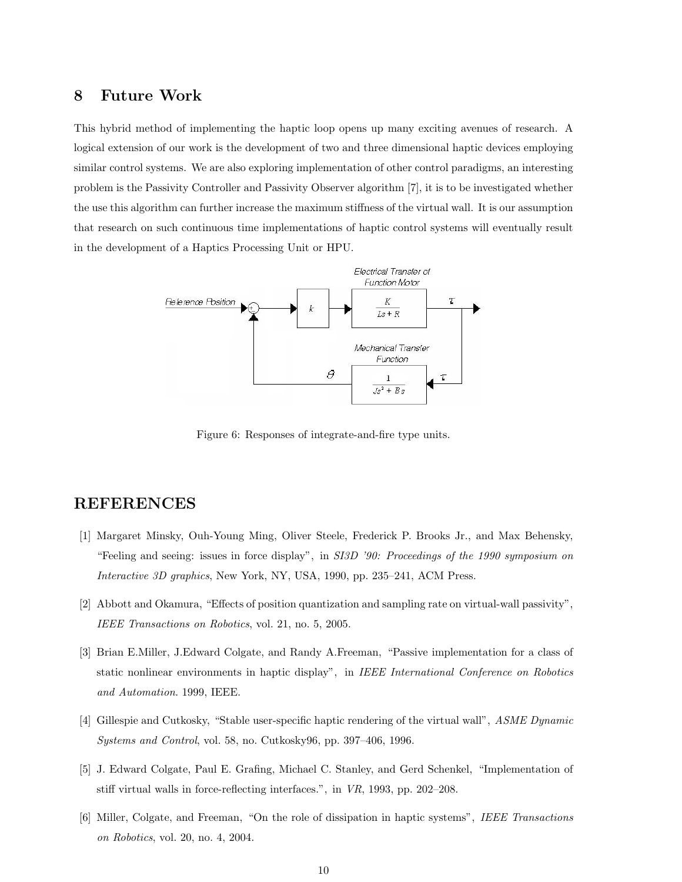### 8 Future Work

This hybrid method of implementing the haptic loop opens up many exciting avenues of research. A logical extension of our work is the development of two and three dimensional haptic devices employing similar control systems. We are also exploring implementation of other control paradigms, an interesting problem is the Passivity Controller and Passivity Observer algorithm [7], it is to be investigated whether the use this algorithm can further increase the maximum stiffness of the virtual wall. It is our assumption that research on such continuous time implementations of haptic control systems will eventually result in the development of a Haptics Processing Unit or HPU.



Figure 6: Responses of integrate-and-fire type units.

# REFERENCES

- [1] Margaret Minsky, Ouh-Young Ming, Oliver Steele, Frederick P. Brooks Jr., and Max Behensky, "Feeling and seeing: issues in force display", in SI3D '90: Proceedings of the 1990 symposium on Interactive 3D graphics, New York, NY, USA, 1990, pp. 235–241, ACM Press.
- [2] Abbott and Okamura, "Effects of position quantization and sampling rate on virtual-wall passivity", IEEE Transactions on Robotics, vol. 21, no. 5, 2005.
- [3] Brian E.Miller, J.Edward Colgate, and Randy A.Freeman, "Passive implementation for a class of static nonlinear environments in haptic display", in IEEE International Conference on Robotics and Automation. 1999, IEEE.
- [4] Gillespie and Cutkosky, "Stable user-specific haptic rendering of the virtual wall", ASME Dynamic Systems and Control, vol. 58, no. Cutkosky96, pp. 397–406, 1996.
- [5] J. Edward Colgate, Paul E. Grafing, Michael C. Stanley, and Gerd Schenkel, "Implementation of stiff virtual walls in force-reflecting interfaces.", in VR, 1993, pp. 202–208.
- [6] Miller, Colgate, and Freeman, "On the role of dissipation in haptic systems", IEEE Transactions on Robotics, vol. 20, no. 4, 2004.